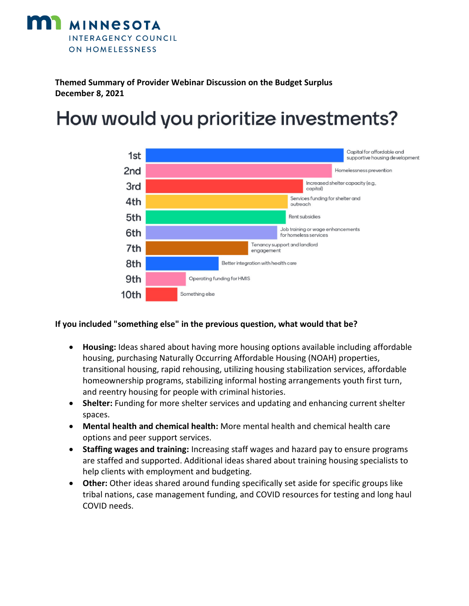

**Themed Summary of Provider Webinar Discussion on the Budget Surplus December 8, 2021**

## How would you prioritize investments?



## **If you included "something else" in the previous question, what would that be?**

- **Housing:** Ideas shared about having more housing options available including affordable housing, purchasing Naturally Occurring Affordable Housing (NOAH) properties, transitional housing, rapid rehousing, utilizing housing stabilization services, affordable homeownership programs, stabilizing informal hosting arrangements youth first turn, and reentry housing for people with criminal histories.
- **Shelter:** Funding for more shelter services and updating and enhancing current shelter spaces.
- **Mental health and chemical health:** More mental health and chemical health care options and peer support services.
- **Staffing wages and training:** Increasing staff wages and hazard pay to ensure programs are staffed and supported. Additional ideas shared about training housing specialists to help clients with employment and budgeting.
- **Other:** Other ideas shared around funding specifically set aside for specific groups like tribal nations, case management funding, and COVID resources for testing and long haul COVID needs.